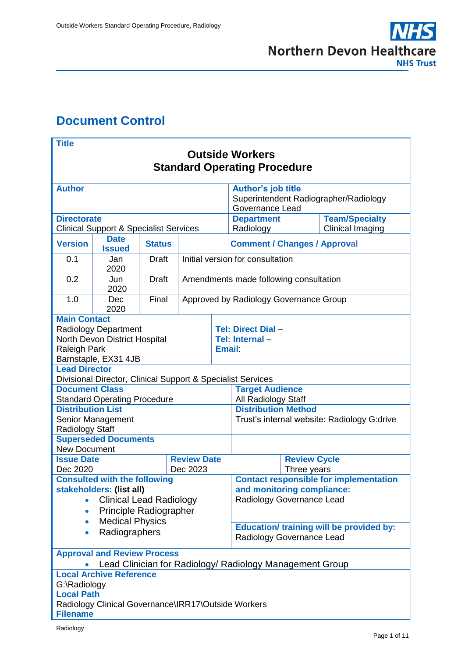# <span id="page-0-0"></span>**Document Control**

| <b>Title</b>                                                                                                                                          |                                                             |               |                                        |  |                                                                                                          |                     |                         |  |  |
|-------------------------------------------------------------------------------------------------------------------------------------------------------|-------------------------------------------------------------|---------------|----------------------------------------|--|----------------------------------------------------------------------------------------------------------|---------------------|-------------------------|--|--|
| <b>Outside Workers</b>                                                                                                                                |                                                             |               |                                        |  |                                                                                                          |                     |                         |  |  |
| <b>Standard Operating Procedure</b>                                                                                                                   |                                                             |               |                                        |  |                                                                                                          |                     |                         |  |  |
| <b>Author</b>                                                                                                                                         |                                                             |               |                                        |  | <b>Author's job title</b>                                                                                |                     |                         |  |  |
|                                                                                                                                                       |                                                             |               |                                        |  | Superintendent Radiographer/Radiology                                                                    |                     |                         |  |  |
| <b>Directorate</b>                                                                                                                                    |                                                             |               |                                        |  | <b>Governance Lead</b><br><b>Team/Specialty</b><br><b>Department</b>                                     |                     |                         |  |  |
| <b>Clinical Support &amp; Specialist Services</b>                                                                                                     |                                                             |               |                                        |  | Radiology                                                                                                |                     | <b>Clinical Imaging</b> |  |  |
| <b>Version</b>                                                                                                                                        | <b>Date</b><br><b>Issued</b>                                | <b>Status</b> | <b>Comment / Changes / Approval</b>    |  |                                                                                                          |                     |                         |  |  |
| 0.1                                                                                                                                                   | Jan<br>2020                                                 | <b>Draft</b>  | Initial version for consultation       |  |                                                                                                          |                     |                         |  |  |
| 0.2                                                                                                                                                   | Jun<br>2020                                                 | <b>Draft</b>  | Amendments made following consultation |  |                                                                                                          |                     |                         |  |  |
| 1.0                                                                                                                                                   | Dec<br>2020                                                 | Final         | Approved by Radiology Governance Group |  |                                                                                                          |                     |                         |  |  |
| <b>Main Contact</b><br><b>Radiology Department</b><br>North Devon District Hospital<br><b>Raleigh Park</b><br>Barnstaple, EX31 4JB                    |                                                             |               |                                        |  | <b>Tel: Direct Dial -</b><br>Tel: Internal -<br><b>Email:</b>                                            |                     |                         |  |  |
| <b>Lead Director</b>                                                                                                                                  | Divisional Director, Clinical Support & Specialist Services |               |                                        |  |                                                                                                          |                     |                         |  |  |
| <b>Document Class</b>                                                                                                                                 | <b>Standard Operating Procedure</b>                         |               |                                        |  | <b>Target Audience</b><br>All Radiology Staff                                                            |                     |                         |  |  |
| <b>Distribution List</b>                                                                                                                              |                                                             |               |                                        |  | <b>Distribution Method</b>                                                                               |                     |                         |  |  |
| Senior Management<br><b>Radiology Staff</b>                                                                                                           |                                                             |               |                                        |  | Trust's internal website: Radiology G:drive                                                              |                     |                         |  |  |
| <b>New Document</b>                                                                                                                                   | <b>Superseded Documents</b>                                 |               |                                        |  |                                                                                                          |                     |                         |  |  |
|                                                                                                                                                       | <b>Review Date</b><br><b>Issue Date</b>                     |               |                                        |  |                                                                                                          | <b>Review Cycle</b> |                         |  |  |
|                                                                                                                                                       | Dec 2023<br>Dec 2020                                        |               |                                        |  |                                                                                                          | Three years         |                         |  |  |
| <b>Consulted with the following</b><br>stakeholders: (list all)<br><b>Clinical Lead Radiology</b><br>$\bullet$<br>Principle Radiographer<br>$\bullet$ |                                                             |               |                                        |  | <b>Contact responsible for implementation</b><br>and monitoring compliance:<br>Radiology Governance Lead |                     |                         |  |  |
| <b>Medical Physics</b><br>$\bullet$<br>Radiographers<br>$\bullet$                                                                                     |                                                             |               |                                        |  | <b>Education/ training will be provided by:</b><br>Radiology Governance Lead                             |                     |                         |  |  |
| <b>Approval and Review Process</b><br>Lead Clinician for Radiology/ Radiology Management Group                                                        |                                                             |               |                                        |  |                                                                                                          |                     |                         |  |  |
| <b>Local Archive Reference</b><br>G:\Radiology<br><b>Local Path</b><br>Radiology Clinical Governance\IRR17\Outside Workers<br><b>Filename</b>         |                                                             |               |                                        |  |                                                                                                          |                     |                         |  |  |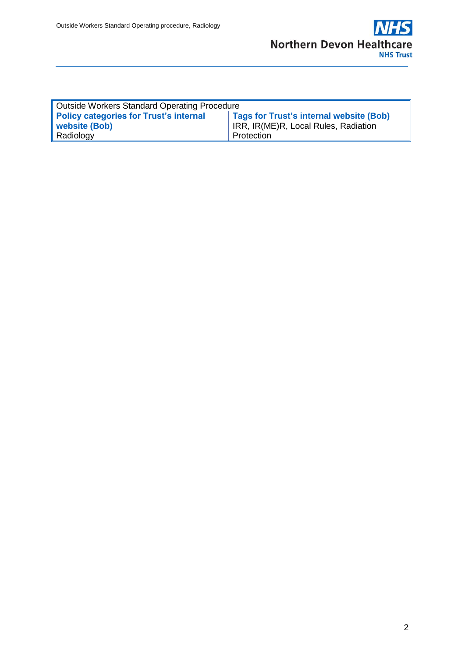

| Outside Workers Standard Operating Procedure  |                                                |  |  |  |  |  |
|-----------------------------------------------|------------------------------------------------|--|--|--|--|--|
| <b>Policy categories for Trust's internal</b> | <b>Tags for Trust's internal website (Bob)</b> |  |  |  |  |  |
| website (Bob)                                 | IRR, IR(ME)R, Local Rules, Radiation           |  |  |  |  |  |
| Radiology                                     | Protection                                     |  |  |  |  |  |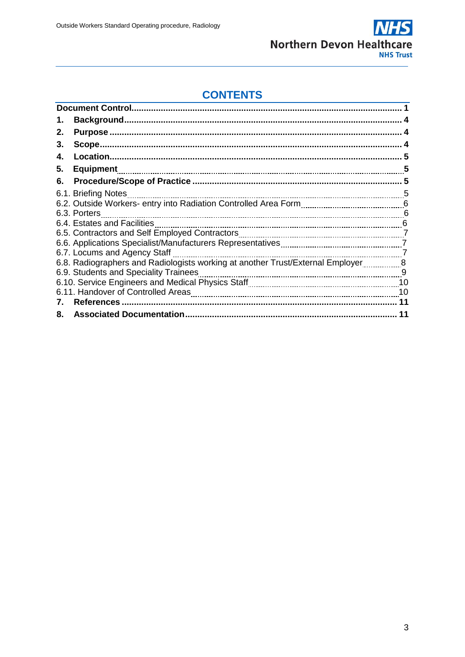

## **CONTENTS**

| 1. |                                                                                 |     |
|----|---------------------------------------------------------------------------------|-----|
| 2. |                                                                                 |     |
| З. |                                                                                 |     |
| 4. |                                                                                 |     |
| 5. | <b>Equipment</b>                                                                | 5   |
| 6. |                                                                                 | 5   |
|    | 6.1. Briefing Notes                                                             |     |
|    |                                                                                 |     |
|    | 6.3. Porters                                                                    | - 6 |
|    | 6.4. Estates and Facilities                                                     | 6   |
|    |                                                                                 |     |
|    |                                                                                 |     |
|    | 6.7. Locums and Agency Staff                                                    |     |
|    | 6.8. Radiographers and Radiologists working at another Trust/External Employer8 |     |
|    | 6.9. Students and Speciality Trainees                                           |     |
|    |                                                                                 |     |
|    |                                                                                 | 10  |
|    | References                                                                      | 11  |
| 8. |                                                                                 |     |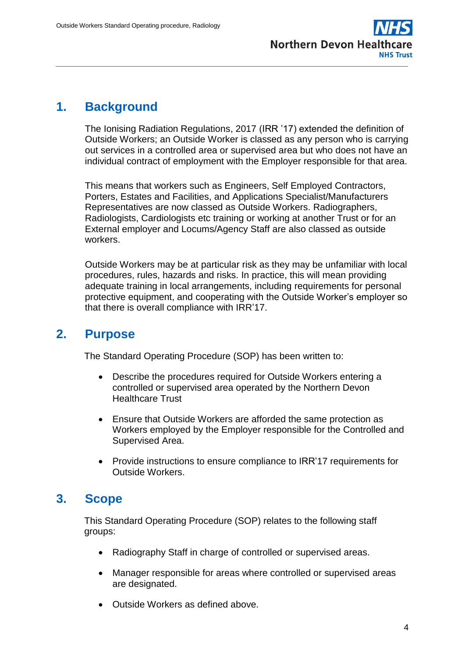

### <span id="page-3-0"></span>**1. Background**

The Ionising Radiation Regulations, 2017 (IRR '17) extended the definition of Outside Workers; an Outside Worker is classed as any person who is carrying out services in a controlled area or supervised area but who does not have an individual contract of employment with the Employer responsible for that area.

This means that workers such as Engineers, Self Employed Contractors, Porters, Estates and Facilities, and Applications Specialist/Manufacturers Representatives are now classed as Outside Workers. Radiographers, Radiologists, Cardiologists etc training or working at another Trust or for an External employer and Locums/Agency Staff are also classed as outside workers.

Outside Workers may be at particular risk as they may be unfamiliar with local procedures, rules, hazards and risks. In practice, this will mean providing adequate training in local arrangements, including requirements for personal protective equipment, and cooperating with the Outside Worker's employer so that there is overall compliance with IRR'17.

## **2. Purpose**

The Standard Operating Procedure (SOP) has been written to:

- Describe the procedures required for Outside Workers entering a controlled or supervised area operated by the Northern Devon Healthcare Trust
- Ensure that Outside Workers are afforded the same protection as Workers employed by the Employer responsible for the Controlled and Supervised Area.
- Provide instructions to ensure compliance to IRR'17 requirements for Outside Workers.

## **3. Scope**

This Standard Operating Procedure (SOP) relates to the following staff groups:

- Radiography Staff in charge of controlled or supervised areas.
- Manager responsible for areas where controlled or supervised areas are designated.
- Outside Workers as defined above.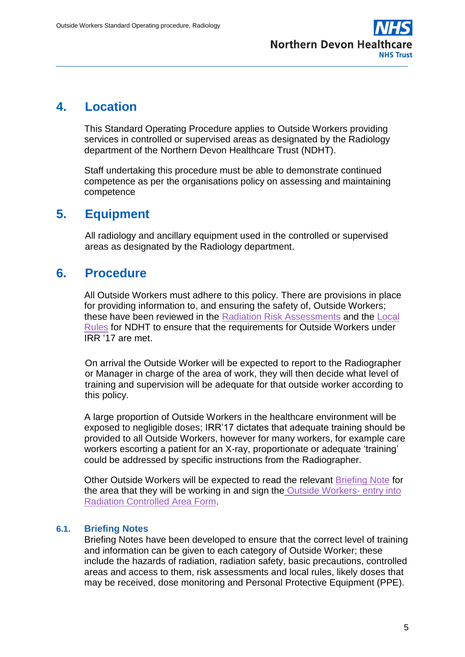

### <span id="page-4-0"></span>**4. Location**

This Standard Operating Procedure applies to Outside Workers providing services in controlled or supervised areas as designated by the Radiology department of the Northern Devon Healthcare Trust (NDHT).

Staff undertaking this procedure must be able to demonstrate continued competence as per the organisations policy on assessing and maintaining competence

### **5. Equipment**

All radiology and ancillary equipment used in the controlled or supervised areas as designated by the Radiology department.

## **6. Procedure**

All Outside Workers must adhere to this policy. There are provisions in place for providing information to, and ensuring the safety of, Outside Workers; these have been reviewed in the [Radiation Risk Assessments](file://///NDS.INTERNAL/PUBLIC/Radiology%20Clinical%20Governance/IRR17/Risk%20Assessments) and the [Local](file://///NDS.INTERNAL/PUBLIC/Radiology%20Clinical%20Governance/Local%20Rules/2017%20NDDH%20(Barnstaple%20Bideford%20%20Ilfracombe)%20Local%20Rules%20(2).pdf)  [Rules](file://///NDS.INTERNAL/PUBLIC/Radiology%20Clinical%20Governance/Local%20Rules/2017%20NDDH%20(Barnstaple%20Bideford%20%20Ilfracombe)%20Local%20Rules%20(2).pdf) for NDHT to ensure that the requirements for Outside Workers under IRR '17 are met.

On arrival the Outside Worker will be expected to report to the Radiographer or Manager in charge of the area of work, they will then decide what level of training and supervision will be adequate for that outside worker according to this policy.

A large proportion of Outside Workers in the healthcare environment will be exposed to negligible doses; IRR'17 dictates that adequate training should be provided to all Outside Workers, however for many workers, for example care workers escorting a patient for an X-ray, proportionate or adequate 'training' could be addressed by specific instructions from the Radiographer.

Other Outside Workers will be expected to read the relevant [Briefing Note](file://///NDS.INTERNAL/PUBLIC/Radiology%20Clinical%20Governance/IRR17/Outside%20Workers) for the area that they will be working in and sign the [Outside Workers-](file://///NDS.INTERNAL/PUBLIC/Radiology%20Clinical%20Governance/IRR17/Outside%20Workers/Outside%20Workers%20-%20Entry%20into%20Radiation%20Controlled%20Area%20Form%20-%20General%20including%20Mobiles.docx) entry into [Radiation Controlled Area Form.](file://///NDS.INTERNAL/PUBLIC/Radiology%20Clinical%20Governance/IRR17/Outside%20Workers/Outside%20Workers%20-%20Entry%20into%20Radiation%20Controlled%20Area%20Form%20-%20General%20including%20Mobiles.docx)

### **6.1. Briefing Notes**

Briefing Notes have been developed to ensure that the correct level of training and information can be given to each category of Outside Worker; these include the hazards of radiation, radiation safety, basic precautions, controlled areas and access to them, risk assessments and local rules, likely doses that may be received, dose monitoring and Personal Protective Equipment (PPE).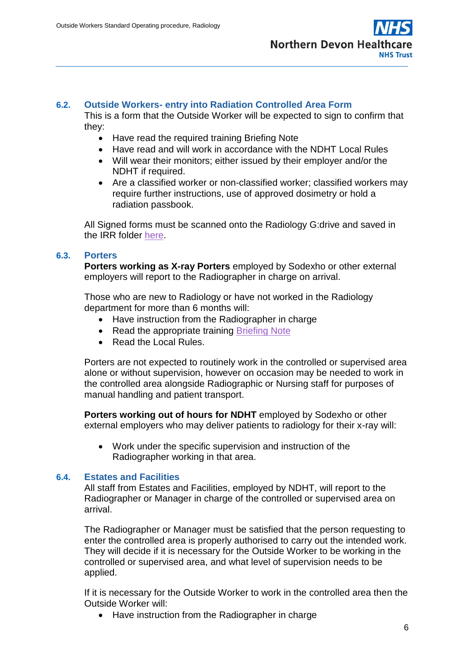

#### **6.2. Outside Workers- entry into Radiation Controlled Area Form**

This is a form that the Outside Worker will be expected to sign to confirm that they:

- Have read the required training Briefing Note
- Have read and will work in accordance with the NDHT Local Rules
- Will wear their monitors; either issued by their employer and/or the NDHT if required.
- Are a classified worker or non-classified worker; classified workers may require further instructions, use of approved dosimetry or hold a radiation passbook.

All Signed forms must be scanned onto the Radiology G:drive and saved in the IRR folder [here.](file://///NDS.INTERNAL/PUBLIC/Radiology%20Clinical%20Governance/IRR17/Outside%20Workers/Signed%20Outside%20Worker%20Forms)

#### **6.3. Porters**

**Porters working as X-ray Porters** employed by Sodexho or other external employers will report to the Radiographer in charge on arrival.

Those who are new to Radiology or have not worked in the Radiology department for more than 6 months will:

- Have instruction from the Radiographer in charge
- Read the appropriate training [Briefing Note](file://///NDS.INTERNAL/PUBLIC/Radiology%20Clinical%20Governance/IRR17/Outside%20Workers/Briefing%20Note%20-%20Porters.docx)
- Read the Local Rules.

Porters are not expected to routinely work in the controlled or supervised area alone or without supervision, however on occasion may be needed to work in the controlled area alongside Radiographic or Nursing staff for purposes of manual handling and patient transport.

**Porters working out of hours for NDHT** employed by Sodexho or other external employers who may deliver patients to radiology for their x-ray will:

 Work under the specific supervision and instruction of the Radiographer working in that area.

#### **6.4. Estates and Facilities**

All staff from Estates and Facilities, employed by NDHT, will report to the Radiographer or Manager in charge of the controlled or supervised area on arrival.

The Radiographer or Manager must be satisfied that the person requesting to enter the controlled area is properly authorised to carry out the intended work. They will decide if it is necessary for the Outside Worker to be working in the controlled or supervised area, and what level of supervision needs to be applied.

If it is necessary for the Outside Worker to work in the controlled area then the Outside Worker will:

• Have instruction from the Radiographer in charge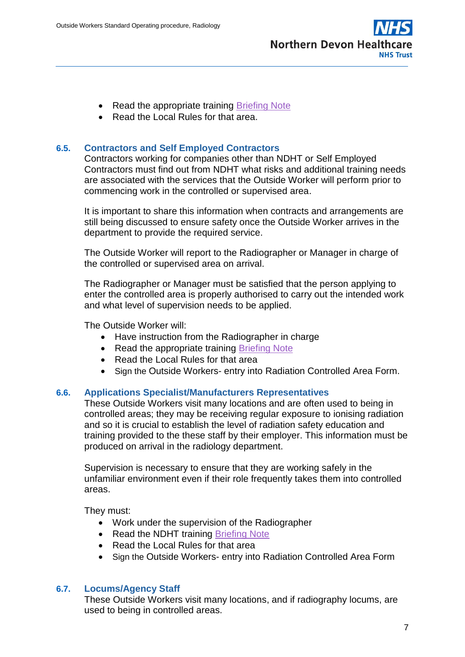

- Read the appropriate training [Briefing Note](file://///NDS.INTERNAL/PUBLIC/Radiology%20Clinical%20Governance/IRR17/Outside%20Workers/Briefing%20Note%20-%20Estates%20and%20Facilities.docx)
- Read the Local Rules for that area.

#### **6.5. Contractors and Self Employed Contractors**

Contractors working for companies other than NDHT or Self Employed Contractors must find out from NDHT what risks and additional training needs are associated with the services that the Outside Worker will perform prior to commencing work in the controlled or supervised area.

It is important to share this information when contracts and arrangements are still being discussed to ensure safety once the Outside Worker arrives in the department to provide the required service.

The Outside Worker will report to the Radiographer or Manager in charge of the controlled or supervised area on arrival.

The Radiographer or Manager must be satisfied that the person applying to enter the controlled area is properly authorised to carry out the intended work and what level of supervision needs to be applied.

The Outside Worker will:

- Have instruction from the Radiographer in charge
- Read the appropriate training [Briefing Note](file://///NDS.INTERNAL/PUBLIC/Radiology%20Clinical%20Governance/IRR17/Outside%20Workers/Briefing%20Note%20-%20Contractors%20and%20Self%20Employed%20Contractors.docx)
- Read the Local Rules for that area
- Sign the Outside Workers- entry into Radiation Controlled Area Form.

#### **6.6. Applications Specialist/Manufacturers Representatives**

These Outside Workers visit many locations and are often used to being in controlled areas; they may be receiving regular exposure to ionising radiation and so it is crucial to establish the level of radiation safety education and training provided to the these staff by their employer. This information must be produced on arrival in the radiology department.

Supervision is necessary to ensure that they are working safely in the unfamiliar environment even if their role frequently takes them into controlled areas.

They must:

- Work under the supervision of the Radiographer
- Read the NDHT training [Briefing Note](file://///NDS.INTERNAL/PUBLIC/Radiology%20Clinical%20Governance/IRR17/Outside%20Workers/Briefing%20Note%20-%20Applications%20Specialist%20-%20Manufacturers%20Representatives.docx)
- Read the Local Rules for that area
- Sign the Outside Workers- entry into Radiation Controlled Area Form

#### **6.7. Locums/Agency Staff**

These Outside Workers visit many locations, and if radiography locums, are used to being in controlled areas.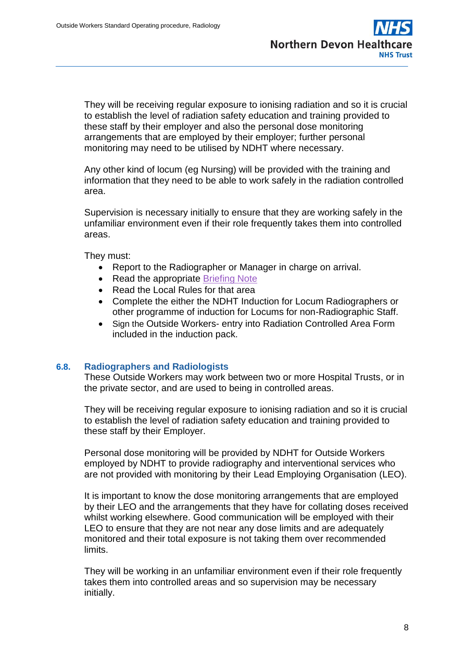

They will be receiving regular exposure to ionising radiation and so it is crucial to establish the level of radiation safety education and training provided to these staff by their employer and also the personal dose monitoring arrangements that are employed by their employer; further personal monitoring may need to be utilised by NDHT where necessary.

Any other kind of locum (eg Nursing) will be provided with the training and information that they need to be able to work safely in the radiation controlled area.

Supervision is necessary initially to ensure that they are working safely in the unfamiliar environment even if their role frequently takes them into controlled areas.

They must:

- Report to the Radiographer or Manager in charge on arrival.
- Read the appropriate [Briefing Note](file://///NDS.INTERNAL/PUBLIC/Radiology%20Clinical%20Governance/IRR17/Outside%20Workers/Briefing%20Note%20-%20Locums%20and%20Agency%20Staff.docx)
- Read the Local Rules for that area
- Complete the either the NDHT Induction for Locum Radiographers or other programme of induction for Locums for non-Radiographic Staff.
- Sign the Outside Workers- entry into Radiation Controlled Area Form included in the induction pack.

#### **6.8. Radiographers and Radiologists**

These Outside Workers may work between two or more Hospital Trusts, or in the private sector, and are used to being in controlled areas.

They will be receiving regular exposure to ionising radiation and so it is crucial to establish the level of radiation safety education and training provided to these staff by their Employer.

Personal dose monitoring will be provided by NDHT for Outside Workers employed by NDHT to provide radiography and interventional services who are not provided with monitoring by their Lead Employing Organisation (LEO).

It is important to know the dose monitoring arrangements that are employed by their LEO and the arrangements that they have for collating doses received whilst working elsewhere. Good communication will be employed with their LEO to ensure that they are not near any dose limits and are adequately monitored and their total exposure is not taking them over recommended limits.

They will be working in an unfamiliar environment even if their role frequently takes them into controlled areas and so supervision may be necessary initially.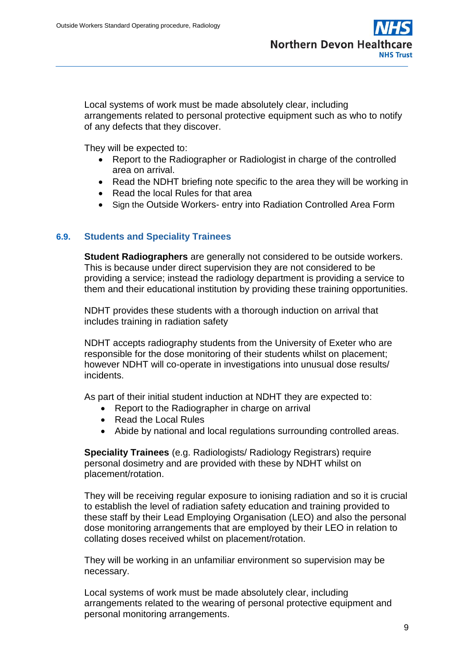**Northern Devon Healthcare NHS Trust** 

Local systems of work must be made absolutely clear, including arrangements related to personal protective equipment such as who to notify of any defects that they discover.

They will be expected to:

- Report to the Radiographer or Radiologist in charge of the controlled area on arrival.
- Read the NDHT briefing note specific to the area they will be working in
- Read the local Rules for that area
- Sign the Outside Workers- entry into Radiation Controlled Area Form

### **6.9. Students and Speciality Trainees**

**Student Radiographers** are generally not considered to be outside workers. This is because under direct supervision they are not considered to be providing a service; instead the radiology department is providing a service to them and their educational institution by providing these training opportunities.

NDHT provides these students with a thorough induction on arrival that includes training in radiation safety

NDHT accepts radiography students from the University of Exeter who are responsible for the dose monitoring of their students whilst on placement; however NDHT will co-operate in investigations into unusual dose results/ incidents.

As part of their initial student induction at NDHT they are expected to:

- Report to the Radiographer in charge on arrival
- Read the Local Rules
- Abide by national and local regulations surrounding controlled areas.

**Speciality Trainees** (e.g. Radiologists/ Radiology Registrars) require personal dosimetry and are provided with these by NDHT whilst on placement/rotation.

They will be receiving regular exposure to ionising radiation and so it is crucial to establish the level of radiation safety education and training provided to these staff by their Lead Employing Organisation (LEO) and also the personal dose monitoring arrangements that are employed by their LEO in relation to collating doses received whilst on placement/rotation.

They will be working in an unfamiliar environment so supervision may be necessary.

Local systems of work must be made absolutely clear, including arrangements related to the wearing of personal protective equipment and personal monitoring arrangements.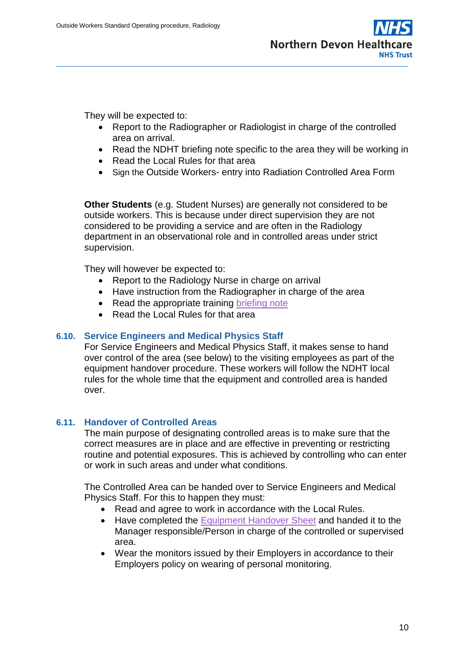

They will be expected to:

- Report to the Radiographer or Radiologist in charge of the controlled area on arrival.
- Read the NDHT briefing note specific to the area they will be working in
- Read the Local Rules for that area
- Sign the Outside Workers- entry into Radiation Controlled Area Form

**Other Students** (e.g. Student Nurses) are generally not considered to be outside workers. This is because under direct supervision they are not considered to be providing a service and are often in the Radiology department in an observational role and in controlled areas under strict supervision.

They will however be expected to:

- Report to the Radiology Nurse in charge on arrival
- Have instruction from the Radiographer in charge of the area
- Read the appropriate training [briefing note](file://///NDS.INTERNAL/PUBLIC/Radiology%20Clinical%20Governance/IRR17/Outside%20Workers/Briefing%20Note%20-%20Non-Radiographic%20Students.docx)
- Read the Local Rules for that area

### **6.10. Service Engineers and Medical Physics Staff**

For Service Engineers and Medical Physics Staff, it makes sense to hand over control of the area (see below) to the visiting employees as part of the equipment handover procedure. These workers will follow the NDHT local rules for the whole time that the equipment and controlled area is handed over.

#### **6.11. Handover of Controlled Areas**

The main purpose of designating controlled areas is to make sure that the correct measures are in place and are effective in preventing or restricting routine and potential exposures. This is achieved by controlling who can enter or work in such areas and under what conditions.

The Controlled Area can be handed over to Service Engineers and Medical Physics Staff. For this to happen they must:

- Read and agree to work in accordance with the Local Rules.
- Have completed the [Equipment Handover Sheet](file://///NDS.INTERNAL/PUBLIC/Radiology%20Clinical%20Governance/Equipment%20Handover%20Sheets/Equipment%20Handover%20Sheet.pdf) and handed it to the Manager responsible/Person in charge of the controlled or supervised area.
- Wear the monitors issued by their Employers in accordance to their Employers policy on wearing of personal monitoring.